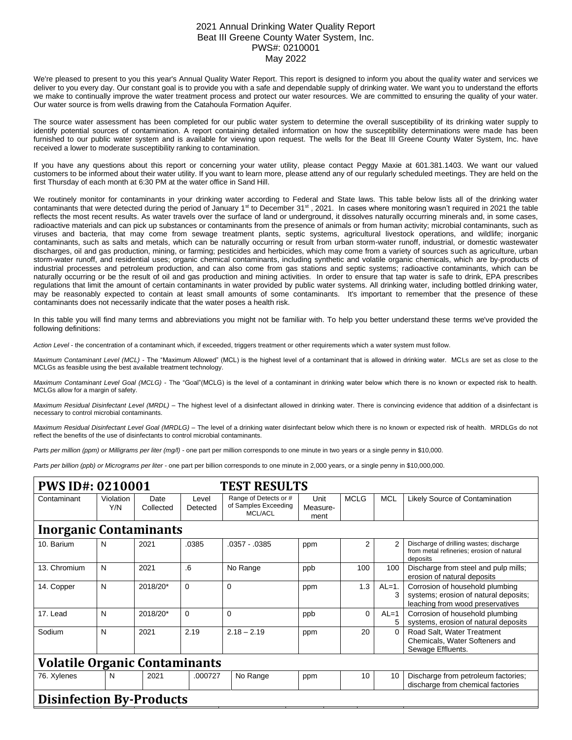## 2021 Annual Drinking Water Quality Report Beat III Greene County Water System, Inc. PWS#: 0210001 May 2022

We're pleased to present to you this year's Annual Quality Water Report. This report is designed to inform you about the quality water and services we deliver to you every day. Our constant goal is to provide you with a safe and dependable supply of drinking water. We want you to understand the efforts we make to continually improve the water treatment process and protect our water resources. We are committed to ensuring the quality of your water. Our water source is from wells drawing from the Catahoula Formation Aquifer.

The source water assessment has been completed for our public water system to determine the overall susceptibility of its drinking water supply to identify potential sources of contamination. A report containing detailed information on how the susceptibility determinations were made has been furnished to our public water system and is available for viewing upon request. The wells for the Beat III Greene County Water System, Inc. have received a lower to moderate susceptibility ranking to contamination.

If you have any questions about this report or concerning your water utility, please contact Peggy Maxie at 601.381.1403. We want our valued customers to be informed about their water utility. If you want to learn more, please attend any of our regularly scheduled meetings. They are held on the first Thursday of each month at 6:30 PM at the water office in Sand Hill.

We routinely monitor for contaminants in your drinking water according to Federal and State laws. This table below lists all of the drinking water contaminants that were detected during the period of January 1<sup>st</sup> to December 31<sup>st</sup>, 2021. In cases where monitoring wasn't required in 2021 the table reflects the most recent results. As water travels over the surface of land or underground, it dissolves naturally occurring minerals and, in some cases, radioactive materials and can pick up substances or contaminants from the presence of animals or from human activity; microbial contaminants, such as viruses and bacteria, that may come from sewage treatment plants, septic systems, agricultural livestock operations, and wildlife; inorganic contaminants, such as salts and metals, which can be naturally occurring or result from urban storm-water runoff, industrial, or domestic wastewater discharges, oil and gas production, mining, or farming; pesticides and herbicides, which may come from a variety of sources such as agriculture, urban storm-water runoff, and residential uses; organic chemical contaminants, including synthetic and volatile organic chemicals, which are by-products of industrial processes and petroleum production, and can also come from gas stations and septic systems; radioactive contaminants, which can be naturally occurring or be the result of oil and gas production and mining activities. In order to ensure that tap water is safe to drink, EPA prescribes regulations that limit the amount of certain contaminants in water provided by public water systems. All drinking water, including bottled drinking water, may be reasonably expected to contain at least small amounts of some contaminants. It's important to remember that the presence of these contaminants does not necessarily indicate that the water poses a health risk.

In this table you will find many terms and abbreviations you might not be familiar with. To help you better understand these terms we've provided the following definitions:

*Action Level* - the concentration of a contaminant which, if exceeded, triggers treatment or other requirements which a water system must follow.

*Maximum Contaminant Level (MCL)* - The "Maximum Allowed" (MCL) is the highest level of a contaminant that is allowed in drinking water. MCLs are set as close to the MCLGs as feasible using the best available treatment technology.

*Maximum Contaminant Level Goal (MCLG)* - The "Goal"(MCLG) is the level of a contaminant in drinking water below which there is no known or expected risk to health. MCLGs allow for a margin of safety.

*Maximum Residual Disinfectant Level (MRDL)* – The highest level of a disinfectant allowed in drinking water. There is convincing evidence that addition of a disinfectant is necessary to control microbial contaminants.

*Maximum Residual Disinfectant Level Goal (MRDLG)* – The level of a drinking water disinfectant below which there is no known or expected risk of health. MRDLGs do not reflect the benefits of the use of disinfectants to control microbial contaminants.

*Parts per million (ppm) or Milligrams per liter (mg/l)* - one part per million corresponds to one minute in two years or a single penny in \$10,000.

*Parts per billion (ppb) or Micrograms per liter* - one part per billion corresponds to one minute in 2,000 years, or a single penny in \$10,000,000.

| <b>PWS ID#: 0210001</b><br><b>TEST RESULTS</b> |                  |                   |                   |                                                          |                          |             |            |                                                                                                              |  |  |  |  |
|------------------------------------------------|------------------|-------------------|-------------------|----------------------------------------------------------|--------------------------|-------------|------------|--------------------------------------------------------------------------------------------------------------|--|--|--|--|
| Contaminant                                    | Violation<br>Y/N | Date<br>Collected | Level<br>Detected | Range of Detects or #<br>of Samples Exceeding<br>MCL/ACL | Unit<br>Measure-<br>ment | <b>MCLG</b> | <b>MCL</b> | Likely Source of Contamination                                                                               |  |  |  |  |
| <b>Inorganic Contaminants</b>                  |                  |                   |                   |                                                          |                          |             |            |                                                                                                              |  |  |  |  |
| 10. Barium                                     | N                | 2021              | .0385             | $.0357 - .0385$                                          | ppm                      | 2           | 2          | Discharge of drilling wastes; discharge<br>from metal refineries; erosion of natural<br>deposits             |  |  |  |  |
| 13. Chromium                                   | N                | 2021              | .6                | No Range                                                 | ppb                      | 100         | 100        | Discharge from steel and pulp mills;<br>erosion of natural deposits                                          |  |  |  |  |
| 14. Copper                                     | N                | 2018/20*          | $\Omega$          | $\mathbf{0}$                                             | ppm                      | 1.3         | $AL=1$ .   | Corrosion of household plumbing<br>systems; erosion of natural deposits;<br>leaching from wood preservatives |  |  |  |  |
| 17. Lead                                       | N                | 2018/20*          | 0                 | $\Omega$                                                 | ppb                      | $\Omega$    | $AL=1$     | Corrosion of household plumbing<br>systems, erosion of natural deposits                                      |  |  |  |  |
| Sodium                                         | N                | 2021              | 2.19              | $2.18 - 2.19$                                            | ppm                      | 20          | 0          | Road Salt, Water Treatment<br>Chemicals, Water Softeners and<br>Sewage Effluents.                            |  |  |  |  |
| <b>Volatile Organic Contaminants</b>           |                  |                   |                   |                                                          |                          |             |            |                                                                                                              |  |  |  |  |
| 76. Xylenes                                    | N                | 2021              | .000727           | No Range                                                 | ppm                      | 10          | 10         | Discharge from petroleum factories;<br>discharge from chemical factories                                     |  |  |  |  |
| <b>Disinfection By-Products</b>                |                  |                   |                   |                                                          |                          |             |            |                                                                                                              |  |  |  |  |